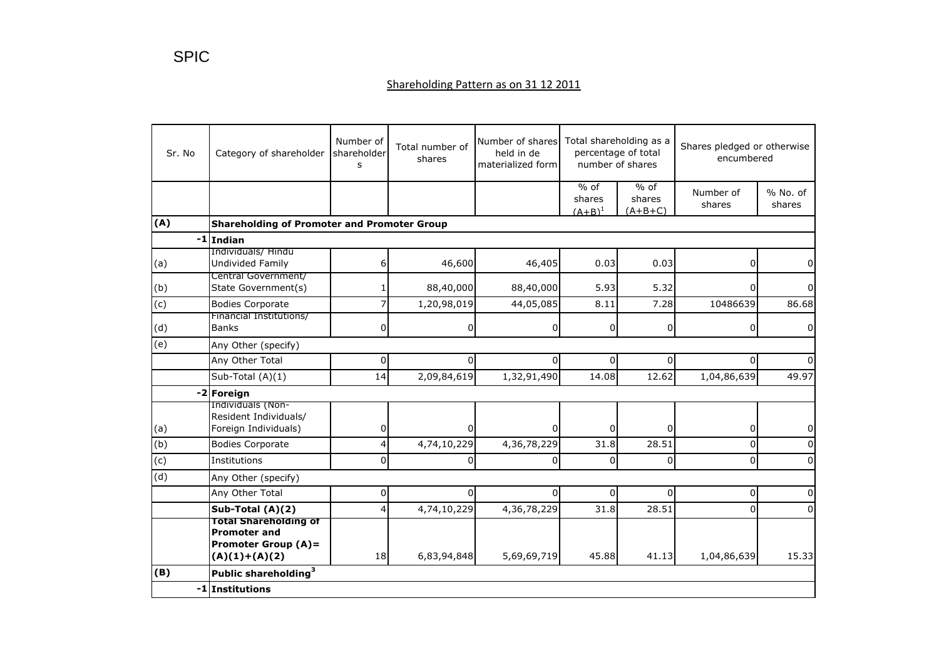| Sr. No | Category of shareholder                                                                              | Number of<br>shareholder<br>s | Total number of<br>shares | Number of shares Total shareholding as a<br>percentage of total<br>held in de<br>number of shares<br>materialized form |                               |                               | Shares pledged or otherwise<br>encumbered |                    |  |
|--------|------------------------------------------------------------------------------------------------------|-------------------------------|---------------------------|------------------------------------------------------------------------------------------------------------------------|-------------------------------|-------------------------------|-------------------------------------------|--------------------|--|
|        |                                                                                                      |                               |                           |                                                                                                                        | $%$ of<br>shares<br>$(A+B)^1$ | $%$ of<br>shares<br>$(A+B+C)$ | Number of<br>shares                       | % No. of<br>shares |  |
| (A)    | <b>Shareholding of Promoter and Promoter Group</b>                                                   |                               |                           |                                                                                                                        |                               |                               |                                           |                    |  |
|        | -1 Indian                                                                                            |                               |                           |                                                                                                                        |                               |                               |                                           |                    |  |
| (a)    | Individuals/ Hindu<br><b>Undivided Family</b>                                                        | 6                             | 46,600                    | 46,405                                                                                                                 | 0.03                          | 0.03                          | 0                                         | 0                  |  |
| (b)    | Central Government/<br>State Government(s)                                                           |                               | 88,40,000                 | 88,40,000                                                                                                              | 5.93                          | 5.32                          | $\overline{0}$                            | U                  |  |
| (c)    | <b>Bodies Corporate</b>                                                                              |                               | 1,20,98,019               | 44,05,085                                                                                                              | 8.11                          | 7.28                          | 10486639                                  | 86.68              |  |
| (d)    | Financial Institutions/<br><b>Banks</b>                                                              | $\overline{0}$                | 0                         | $\mathbf{0}$                                                                                                           | $\overline{0}$                | $\mathbf 0$                   | 0                                         | 0                  |  |
| (e)    | Any Other (specify)                                                                                  |                               |                           |                                                                                                                        |                               |                               |                                           |                    |  |
|        | Any Other Total                                                                                      | 0                             | $\Omega$                  | 0                                                                                                                      | $\mathsf{o}$                  | $\overline{0}$                | 0                                         |                    |  |
|        | Sub-Total (A)(1)                                                                                     | 14                            | 2,09,84,619               | 1,32,91,490                                                                                                            | 14.08                         | 12.62                         | 1,04,86,639                               | 49.97              |  |
|        | -2 Foreign                                                                                           |                               |                           |                                                                                                                        |                               |                               |                                           |                    |  |
| (a)    | Individuals (Non-<br>Resident Individuals/<br>Foreign Individuals)                                   | 0                             |                           |                                                                                                                        | $\Omega$                      | $\Omega$                      | 0                                         | 0                  |  |
| (b)    | <b>Bodies Corporate</b>                                                                              | $\overline{4}$                | 4,74,10,229               | 4,36,78,229                                                                                                            | 31.8                          | 28.51                         | 0                                         |                    |  |
| (c)    | Institutions                                                                                         | 0                             | <sup>0</sup>              | $\Omega$                                                                                                               | $\Omega$                      | $\Omega$                      | $\mathbf 0$                               | $\Omega$           |  |
| (d)    | Any Other (specify)                                                                                  |                               |                           |                                                                                                                        |                               |                               |                                           |                    |  |
|        | Any Other Total                                                                                      | $\overline{0}$                | $\Omega$                  | $\Omega$                                                                                                               | $\Omega$                      | $\Omega$                      | $\overline{0}$                            | $\Omega$           |  |
|        | Sub-Total (A)(2)                                                                                     | 4                             | 4,74,10,229               | 4,36,78,229                                                                                                            | 31.8                          | 28.51                         | 0                                         | $\Omega$           |  |
|        | <b>Total Shareholding of</b><br><b>Promoter and</b><br><b>Promoter Group (A)=</b><br>$(A)(1)+(A)(2)$ | 18                            | 6,83,94,848               | 5,69,69,719                                                                                                            | 45.88                         | 41.13                         | 1,04,86,639                               | 15.33              |  |
| (B)    | Public shareholding <sup>3</sup>                                                                     |                               |                           |                                                                                                                        |                               |                               |                                           |                    |  |
|        | -1 Institutions                                                                                      |                               |                           |                                                                                                                        |                               |                               |                                           |                    |  |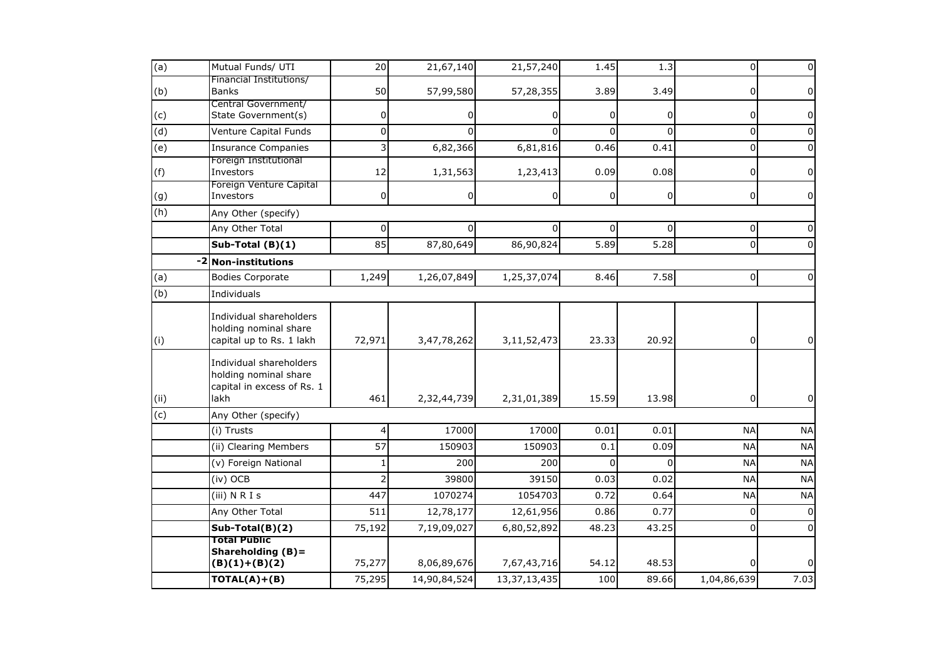| (a)            | Mutual Funds/ UTI                                                                      | 20              | 21,67,140    | 21,57,240       | 1.45           | 1.3      | 0              | $\pmb{0}$      |
|----------------|----------------------------------------------------------------------------------------|-----------------|--------------|-----------------|----------------|----------|----------------|----------------|
| (b)            | Financial Institutions/<br><b>Banks</b>                                                | 50              | 57,99,580    | 57,28,355       | 3.89           | 3.49     | 0              | $\overline{0}$ |
| (c)            | Central Government/<br>State Government(s)                                             | 0               |              | 0               | <sup>0</sup>   | 0        | 0              | 0              |
| (d)            | Venture Capital Funds                                                                  | 0               |              | $\Omega$        | $\Omega$       | $\Omega$ | 0              | $\Omega$       |
| (e)            | <b>Insurance Companies</b>                                                             | 3               | 6,82,366     | 6,81,816        | 0.46           | 0.41     | 0              | 0              |
| (f)            | Foreign Institutional<br>Investors                                                     | 12              | 1,31,563     | 1,23,413        | 0.09           | 0.08     | 0              | 0              |
| (g)            | Foreign Venture Capital<br>Investors                                                   | 0               | 0            | $\overline{0}$  | $\overline{0}$ | 0        | 0              | 0              |
| (h)            | Any Other (specify)                                                                    |                 |              |                 |                |          |                |                |
|                | Any Other Total                                                                        | $\Omega$        | 0            | $\Omega$        | $\Omega$       | $\Omega$ | 0              | 0              |
|                | Sub-Total (B)(1)                                                                       | 85              | 87,80,649    | 86,90,824       | 5.89           | 5.28     | 0              | $\Omega$       |
| $-2$           | <b>Non-institutions</b>                                                                |                 |              |                 |                |          |                |                |
| (a)            | <b>Bodies Corporate</b>                                                                | 1,249           | 1,26,07,849  | 1,25,37,074     | 8.46           | 7.58     | $\overline{0}$ | $\Omega$       |
| (b)            | Individuals                                                                            |                 |              |                 |                |          |                |                |
| (i)            | Individual shareholders<br>holding nominal share<br>capital up to Rs. 1 lakh           | 72,971          | 3,47,78,262  | 3,11,52,473     | 23.33          | 20.92    | 0              | $\overline{0}$ |
| (ii)           | Individual shareholders<br>holding nominal share<br>capital in excess of Rs. 1<br>lakh | 461             | 2,32,44,739  | 2,31,01,389     | 15.59          | 13.98    | 0              | 0              |
| $\overline{c}$ | Any Other (specify)                                                                    |                 |              |                 |                |          |                |                |
|                | (i) Trusts                                                                             | 4               | 17000        | 17000           | 0.01           | 0.01     | <b>NA</b>      | <b>NA</b>      |
|                | (ii) Clearing Members                                                                  | $\overline{57}$ | 150903       | 150903          | 0.1            | 0.09     | <b>NA</b>      | <b>NA</b>      |
|                | (v) Foreign National                                                                   | 1               | 200          | 200             | $\Omega$       | $\Omega$ | <b>NA</b>      | <b>NA</b>      |
|                | (iv) OCB                                                                               | $\overline{2}$  | 39800        | 39150           | 0.03           | 0.02     | <b>NA</b>      | <b>NA</b>      |
|                | $(iii)$ N R I s                                                                        | 447             | 1070274      | 1054703         | 0.72           | 0.64     | <b>NA</b>      | <b>NA</b>      |
|                | Any Other Total                                                                        | 511             | 12,78,177    | 12,61,956       | 0.86           | 0.77     | $\Omega$       | $\pmb{0}$      |
|                | Sub-Total(B)(2)                                                                        | 75,192          | 7,19,09,027  | 6,80,52,892     | 48.23          | 43.25    | 0              | $\mathbf 0$    |
|                | <b>Total Public</b><br>Shareholding $(B)$ =<br>$(B)(1)+(B)(2)$                         | 75,277          | 8,06,89,676  | 7,67,43,716     | 54.12          | 48.53    | 0              | $\mathbf 0$    |
|                | $TOTAL(A)+(B)$                                                                         | 75,295          | 14,90,84,524 | 13, 37, 13, 435 | 100            | 89.66    | 1,04,86,639    | 7.03           |